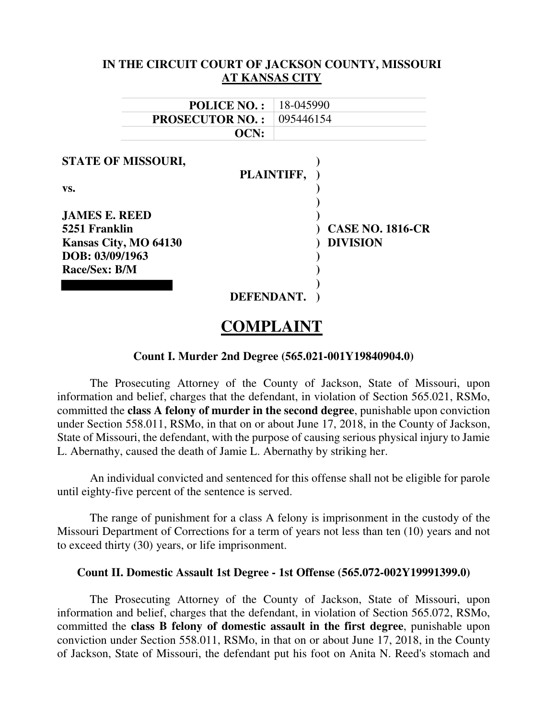|                                                                                                           |                    | IN THE CIRCUIT COURT OF JACKSON COUNTY, MISSOURI         |  |
|-----------------------------------------------------------------------------------------------------------|--------------------|----------------------------------------------------------|--|
|                                                                                                           |                    | <b>AT KANSAS CITY</b>                                    |  |
|                                                                                                           | <b>POLICE NO.:</b> | 18-045990                                                |  |
| <b>PROSECUTOR NO.:</b>                                                                                    |                    | 095446154                                                |  |
|                                                                                                           | OCN:               |                                                          |  |
| VS.<br><b>JAMES E. REED</b><br>5251 Franklin<br>Kansas City, MO 64130<br>DOB: 03/09/1963<br>Race/Sex: B/M | DEFENDANT.         | PLAINTIFF,<br><b>CASE NO. 1816-CR</b><br><b>DIVISION</b> |  |

# **COMPLAINT**

#### **Count I. Murder 2nd Degree (565.021-001Y19840904.0)**

The Prosecuting Attorney of the County of Jackson, State of Missouri, upon information and belief, charges that the defendant, in violation of Section 565.021, RSMo, committed the **class A felony of murder in the second degree**, punishable upon conviction under Section 558.011, RSMo, in that on or about June 17, 2018, in the County of Jackson, State of Missouri, the defendant, with the purpose of causing serious physical injury to Jamie L. Abernathy, caused the death of Jamie L. Abernathy by striking her.

An individual convicted and sentenced for this offense shall not be eligible for parole until eighty-five percent of the sentence is served.

The range of punishment for a class A felony is imprisonment in the custody of the Missouri Department of Corrections for a term of years not less than ten (10) years and not to exceed thirty (30) years, or life imprisonment.

#### **Count II. Domestic Assault 1st Degree - 1st Offense (565.072-002Y19991399.0)**

The Prosecuting Attorney of the County of Jackson, State of Missouri, upon information and belief, charges that the defendant, in violation of Section 565.072, RSMo, committed the **class B felony of domestic assault in the first degree**, punishable upon conviction under Section 558.011, RSMo, in that on or about June 17, 2018, in the County of Jackson, State of Missouri, the defendant put his foot on Anita N. Reed's stomach and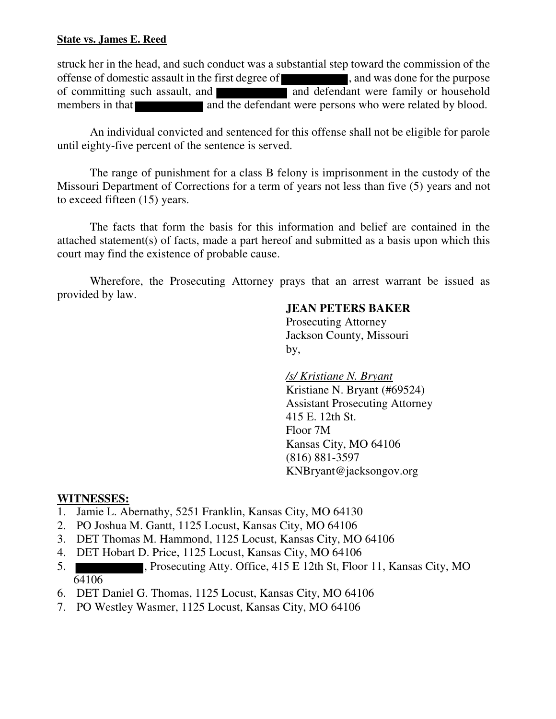### **State vs. James E. Reed**

struck her in the head, and such conduct was a substantial step toward the commission of the offense of domestic assault in the first degree of , and was done for the purpose of committing such assault, and **and defendant** were family or household members in that and the defendant were persons who were related by blood.

An individual convicted and sentenced for this offense shall not be eligible for parole until eighty-five percent of the sentence is served.

The range of punishment for a class B felony is imprisonment in the custody of the Missouri Department of Corrections for a term of years not less than five (5) years and not to exceed fifteen (15) years.

The facts that form the basis for this information and belief are contained in the attached statement(s) of facts, made a part hereof and submitted as a basis upon which this court may find the existence of probable cause.

Wherefore, the Prosecuting Attorney prays that an arrest warrant be issued as provided by law.

## **JEAN PETERS BAKER**

 Prosecuting Attorney Jackson County, Missouri by,

> */s/ Kristiane N. Bryant*  Kristiane N. Bryant (#69524) Assistant Prosecuting Attorney 415 E. 12th St. Floor 7M Kansas City, MO 64106 (816) 881-3597 KNBryant@jacksongov.org

## **WITNESSES:**

- 1. Jamie L. Abernathy, 5251 Franklin, Kansas City, MO 64130
- 2. PO Joshua M. Gantt, 1125 Locust, Kansas City, MO 64106
- 3. DET Thomas M. Hammond, 1125 Locust, Kansas City, MO 64106
- 4. DET Hobart D. Price, 1125 Locust, Kansas City, MO 64106
- 5. , Prosecuting Atty. Office, 415 E 12th St, Floor 11, Kansas City, MO 64106
- 6. DET Daniel G. Thomas, 1125 Locust, Kansas City, MO 64106
- 7. PO Westley Wasmer, 1125 Locust, Kansas City, MO 64106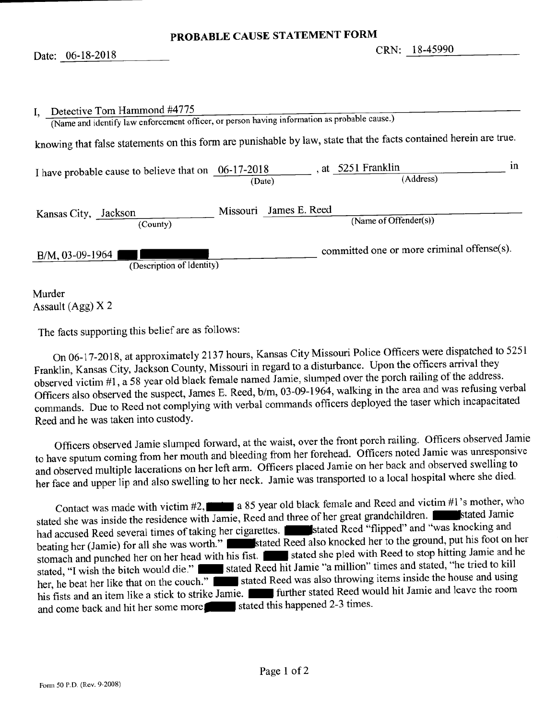| Detective Tom Hammond #4775<br>$\mathbf{I}_{\mathbf{A}}$ | (Name and identify law enforcement officer, or person having information as probable cause.)                      |
|----------------------------------------------------------|-------------------------------------------------------------------------------------------------------------------|
|                                                          | knowing that false statements on this form are punishable by law, state that the facts contained herein are true. |
| I have probable cause to believe that on $06-17-2018$    | ın<br>, at 5251 Franklin<br>(Address)<br>(Date)                                                                   |
| Kansas City, Jackson<br>(County)                         | Missouri James E. Reed<br>(Name of Offender(s))                                                                   |
| B/M, 03-09-1964<br>(Description of Identity)             | committed one or more criminal offense(s).                                                                        |

Murder Assault (Agg)  $X$  2

The facts supporting this belief are as follows:

On 06-17-2018, at approximately 2137 hours, Kansas City Missouri Police Officers were dispatched to 5251 Franklin, Kansas City, Jackson County, Missouri in regard to a disturbance. Upon the officers arrival they observed victim #1, a 58 year old black female named Jamie, slumped over the porch railing of the address. Officers also observed the suspect, James E. Reed, b/m, 03-09-1964, walking in the area and was refusing verbal commands. Due to Reed not complying with verbal commands officers deployed the taser which incapacitated Reed and he was taken into custody.

Officers observed Jamie slumped forward, at the waist, over the front porch railing. Officers observed Jamie to have sputum coming from her mouth and bleeding from her forehead. Officers noted Jamie was unresponsive and observed multiple lacerations on her left arm. Officers placed Jamie on her back and observed swelling to her face and upper lip and also swelling to her neck. Jamie was transported to a local hospital where she died.

Contact was made with victim  $#2$ ,  $\blacksquare$  a 85 year old black female and Reed and victim  $#1$ 's mother, who stated she was inside the residence with Jamie, Reed and three of her great grandchildren. had accused Reed several times of taking her cigarettes. Stated Reed "flipped" and "was knocking and beating her (Jamie) for all she was worth." stated Reed also knocked her to the ground, put his foot on her stomach and punched her on her head with his fist. Is stated she pled with Reed to stop hitting Jamie and he stated, "I wish the bitch would die." I stated Reed hit Jamie "a million" times and stated, "he tried to kill her, he beat her like that on the couch." I stated Reed was also throwing items inside the house and using his fists and an item like a stick to strike Jamie. The further stated Reed would hit Jamie and leave the room and come back and hit her some more stated this happened 2-3 times.